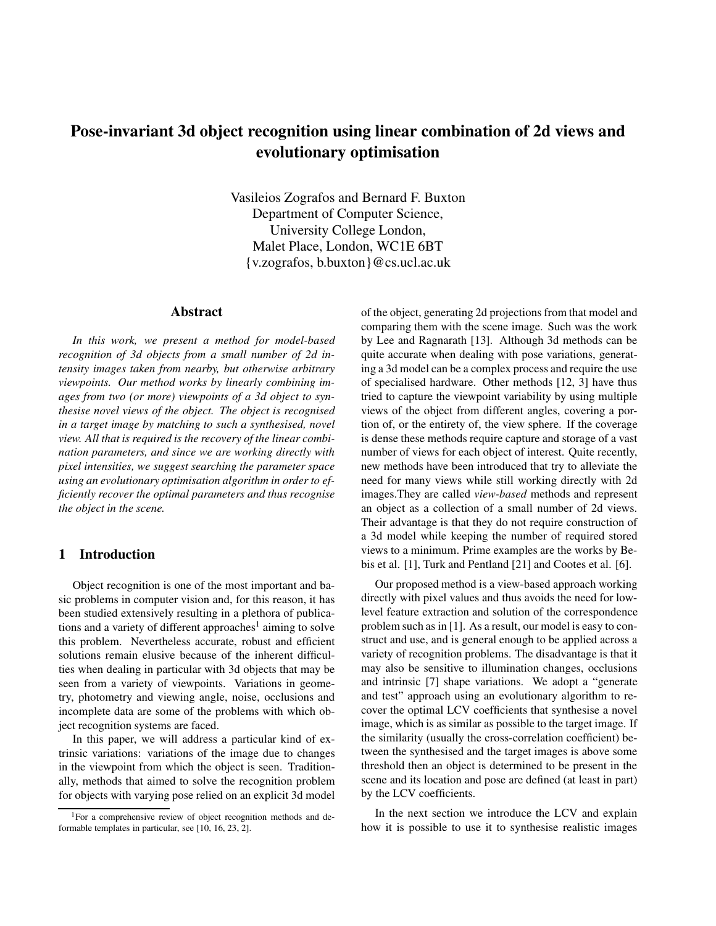# **Pose-invariant 3d object recognition using linear combination of 2d views and evolutionary optimisation**

Vasileios Zografos and Bernard F. Buxton Department of Computer Science, University College London, Malet Place, London, WC1E 6BT {v.zografos, b.buxton}@cs.ucl.ac.uk

#### **Abstract**

*In this work, we present a method for model-based recognition of 3d objects from a small number of 2d intensity images taken from nearby, but otherwise arbitrary viewpoints. Our method works by linearly combining images from two (or more) viewpoints of a 3d object to synthesise novel views of the object. The object is recognised in a target image by matching to such a synthesised, novel view. All that is required is the recovery of the linear combination parameters, and since we are working directly with pixel intensities, we suggest searching the parameter space using an evolutionary optimisation algorithm in order to efficiently recover the optimal parameters and thus recognise the object in the scene.*

#### **1 Introduction**

Object recognition is one of the most important and basic problems in computer vision and, for this reason, it has been studied extensively resulting in a plethora of publications and a variety of different approaches<sup>1</sup> aiming to solve this problem. Nevertheless accurate, robust and efficient solutions remain elusive because of the inherent difficulties when dealing in particular with 3d objects that may be seen from a variety of viewpoints. Variations in geometry, photometry and viewing angle, noise, occlusions and incomplete data are some of the problems with which object recognition systems are faced.

In this paper, we will address a particular kind of extrinsic variations: variations of the image due to changes in the viewpoint from which the object is seen. Traditionally, methods that aimed to solve the recognition problem for objects with varying pose relied on an explicit 3d model of the object, generating 2d projections from that model and comparing them with the scene image. Such was the work by Lee and Ragnarath [13]. Although 3d methods can be quite accurate when dealing with pose variations, generating a 3d model can be a complex process and require the use of specialised hardware. Other methods [12, 3] have thus tried to capture the viewpoint variability by using multiple views of the object from different angles, covering a portion of, or the entirety of, the view sphere. If the coverage is dense these methods require capture and storage of a vast number of views for each object of interest. Quite recently, new methods have been introduced that try to alleviate the need for many views while still working directly with 2d images.They are called *view-based* methods and represent an object as a collection of a small number of 2d views. Their advantage is that they do not require construction of a 3d model while keeping the number of required stored views to a minimum. Prime examples are the works by Bebis et al. [1], Turk and Pentland [21] and Cootes et al. [6].

Our proposed method is a view-based approach working directly with pixel values and thus avoids the need for lowlevel feature extraction and solution of the correspondence problem such as in [1]. As a result, our model is easy to construct and use, and is general enough to be applied across a variety of recognition problems. The disadvantage is that it may also be sensitive to illumination changes, occlusions and intrinsic [7] shape variations. We adopt a "generate and test" approach using an evolutionary algorithm to recover the optimal LCV coefficients that synthesise a novel image, which is as similar as possible to the target image. If the similarity (usually the cross-correlation coefficient) between the synthesised and the target images is above some threshold then an object is determined to be present in the scene and its location and pose are defined (at least in part) by the LCV coefficients.

In the next section we introduce the LCV and explain how it is possible to use it to synthesise realistic images

<sup>&</sup>lt;sup>1</sup>For a comprehensive review of object recognition methods and deformable templates in particular, see [10, 16, 23, 2].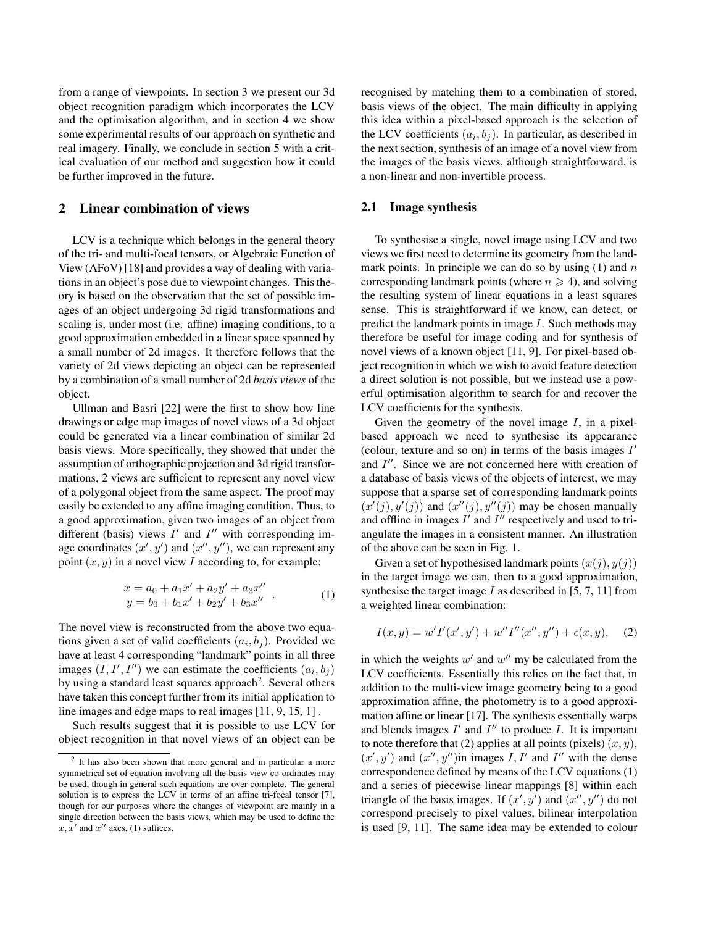from a range of viewpoints. In section 3 we present our 3d object recognition paradigm which incorporates the LCV and the optimisation algorithm, and in section 4 we show some experimental results of our approach on synthetic and real imagery. Finally, we conclude in section 5 with a critical evaluation of our method and suggestion how it could be further improved in the future.

### **2 Linear combination of views**

LCV is a technique which belongs in the general theory of the tri- and multi-focal tensors, or Algebraic Function of View (AFoV) [18] and provides a way of dealing with variations in an object's pose due to viewpoint changes. This theory is based on the observation that the set of possible images of an object undergoing 3d rigid transformations and scaling is, under most (i.e. affine) imaging conditions, to a good approximation embedded in a linear space spanned by a small number of 2d images. It therefore follows that the variety of 2d views depicting an object can be represented by a combination of a small number of 2d *basis views* of the object.

Ullman and Basri [22] were the first to show how line drawings or edge map images of novel views of a 3d object could be generated via a linear combination of similar 2d basis views. More specifically, they showed that under the assumption of orthographic projection and 3d rigid transformations, 2 views are sufficient to represent any novel view of a polygonal object from the same aspect. The proof may easily be extended to any affine imaging condition. Thus, to a good approximation, given two images of an object from different (basis) views  $I'$  and  $I''$  with corresponding image coordinates  $(x', y')$  and  $(x'', y'')$ , we can represent any point  $(x, y)$  in a novel view I according to, for example:

$$
x = a_0 + a_1 x' + a_2 y' + a_3 x''
$$
  
\n
$$
y = b_0 + b_1 x' + b_2 y' + b_3 x''
$$
 (1)

The novel view is reconstructed from the above two equations given a set of valid coefficients  $(a_i, b_j)$ . Provided we have at least 4 corresponding "landmark" points in all three images  $(I, I', I'')$  we can estimate the coefficients  $(a_i, b_j)$ by using a standard least squares approach<sup>2</sup>. Several others have taken this concept further from its initial application to line images and edge maps to real images [11, 9, 15, 1] .

Such results suggest that it is possible to use LCV for object recognition in that novel views of an object can be recognised by matching them to a combination of stored, basis views of the object. The main difficulty in applying this idea within a pixel-based approach is the selection of the LCV coefficients  $(a_i, b_j)$ . In particular, as described in the next section, synthesis of an image of a novel view from the images of the basis views, although straightforward, is a non-linear and non-invertible process.

#### **2.1 Image synthesis**

To synthesise a single, novel image using LCV and two views we first need to determine its geometry from the landmark points. In principle we can do so by using  $(1)$  and n corresponding landmark points (where  $n \geq 4$ ), and solving the resulting system of linear equations in a least squares sense. This is straightforward if we know, can detect, or predict the landmark points in image I. Such methods may therefore be useful for image coding and for synthesis of novel views of a known object [11, 9]. For pixel-based object recognition in which we wish to avoid feature detection a direct solution is not possible, but we instead use a powerful optimisation algorithm to search for and recover the LCV coefficients for the synthesis.

Given the geometry of the novel image  $I$ , in a pixelbased approach we need to synthesise its appearance (colour, texture and so on) in terms of the basis images  $I'$ and  $I''$ . Since we are not concerned here with creation of a database of basis views of the objects of interest, we may suppose that a sparse set of corresponding landmark points  $(x'(j), y'(j))$  and  $(x''(j), y''(j))$  may be chosen manually and offline in images  $I'$  and  $I''$  respectively and used to triangulate the images in a consistent manner. An illustration of the above can be seen in Fig. 1.

Given a set of hypothesised landmark points  $(x(j), y(j))$ in the target image we can, then to a good approximation, synthesise the target image  $I$  as described in [5, 7, 11] from a weighted linear combination:

$$
I(x, y) = w'I'(x', y') + w''I''(x'', y'') + \epsilon(x, y), \quad (2)
$$

in which the weights  $w'$  and  $w''$  my be calculated from the LCV coefficients. Essentially this relies on the fact that, in addition to the multi-view image geometry being to a good approximation affine, the photometry is to a good approximation affine or linear [17]. The synthesis essentially warps and blends images  $I'$  and  $I''$  to produce  $I$ . It is important to note therefore that (2) applies at all points (pixels)  $(x, y)$ ,  $(x', y')$  and  $(x'', y'')$  in images I, I' and I'' with the dense correspondence defined by means of the LCV equations (1) and a series of piecewise linear mappings [8] within each triangle of the basis images. If  $(x', y')$  and  $(x'', y'')$  do not correspond precisely to pixel values, bilinear interpolation is used [9, 11]. The same idea may be extended to colour

 $2$  It has also been shown that more general and in particular a more symmetrical set of equation involving all the basis view co-ordinates may be used, though in general such equations are over-complete. The general solution is to express the LCV in terms of an affine tri-focal tensor [7], though for our purposes where the changes of viewpoint are mainly in a single direction between the basis views, which may be used to define the  $x, x'$  and  $x''$  axes, (1) suffices.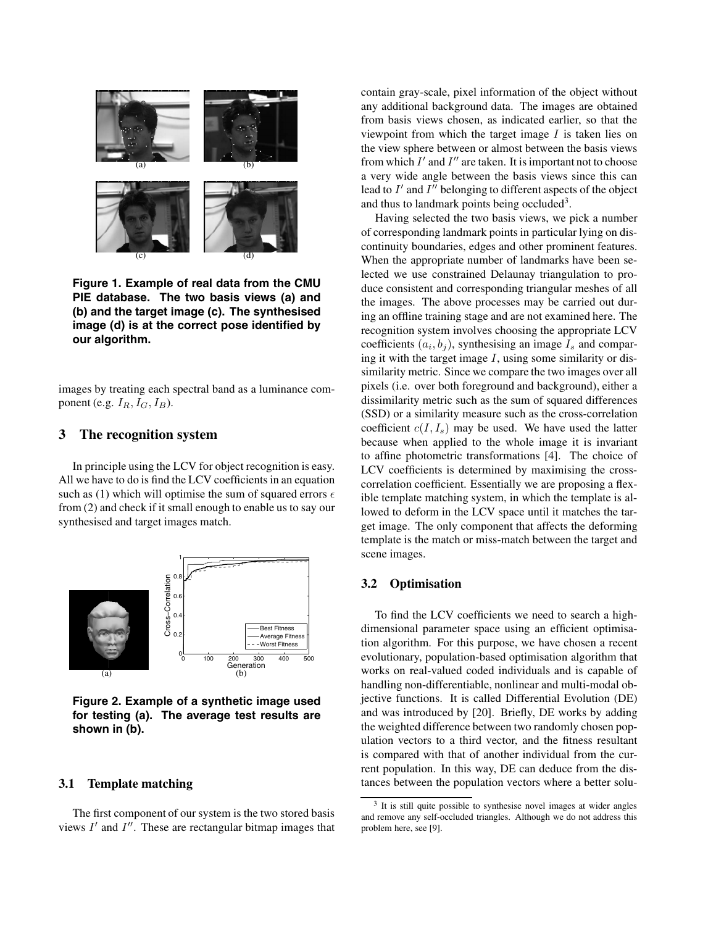

**Figure 1. Example of real data from the CMU PIE database. The two basis views (a) and (b) and the target image (c). The synthesised image (d) is at the correct pose identified by our algorithm.**

images by treating each spectral band as a luminance component (e.g.  $I_R$ ,  $I_G$ ,  $I_B$ ).

## **3 The recognition system**

In principle using the LCV for object recognition is easy. All we have to do is find the LCV coefficients in an equation such as (1) which will optimise the sum of squared errors  $\epsilon$ from (2) and check if it small enough to enable us to say our synthesised and target images match.



**Figure 2. Example of a synthetic image used for testing (a). The average test results are shown in (b).**

## **3.1 Template matching**

The first component of our system is the two stored basis views  $I'$  and  $I''$ . These are rectangular bitmap images that contain gray-scale, pixel information of the object without any additional background data. The images are obtained from basis views chosen, as indicated earlier, so that the viewpoint from which the target image  $I$  is taken lies on the view sphere between or almost between the basis views from which  $I'$  and  $I''$  are taken. It is important not to choose a very wide angle between the basis views since this can lead to  $I'$  and  $I''$  belonging to different aspects of the object and thus to landmark points being occluded<sup>3</sup>.

Having selected the two basis views, we pick a number of corresponding landmark points in particular lying on discontinuity boundaries, edges and other prominent features. When the appropriate number of landmarks have been selected we use constrained Delaunay triangulation to produce consistent and corresponding triangular meshes of all the images. The above processes may be carried out during an offline training stage and are not examined here. The recognition system involves choosing the appropriate LCV coefficients  $(a_i, b_j)$ , synthesising an image  $I_s$  and comparing it with the target image  $I$ , using some similarity or dissimilarity metric. Since we compare the two images over all pixels (i.e. over both foreground and background), either a dissimilarity metric such as the sum of squared differences (SSD) or a similarity measure such as the cross-correlation coefficient  $c(I, I_s)$  may be used. We have used the latter because when applied to the whole image it is invariant to affine photometric transformations [4]. The choice of LCV coefficients is determined by maximising the crosscorrelation coefficient. Essentially we are proposing a flexible template matching system, in which the template is allowed to deform in the LCV space until it matches the target image. The only component that affects the deforming template is the match or miss-match between the target and scene images.

## **3.2 Optimisation**

To find the LCV coefficients we need to search a highdimensional parameter space using an efficient optimisation algorithm. For this purpose, we have chosen a recent evolutionary, population-based optimisation algorithm that works on real-valued coded individuals and is capable of handling non-differentiable, nonlinear and multi-modal objective functions. It is called Differential Evolution (DE) and was introduced by [20]. Briefly, DE works by adding the weighted difference between two randomly chosen population vectors to a third vector, and the fitness resultant is compared with that of another individual from the current population. In this way, DE can deduce from the distances between the population vectors where a better solu-

<sup>&</sup>lt;sup>3</sup> It is still quite possible to synthesise novel images at wider angles and remove any self-occluded triangles. Although we do not address this problem here, see [9].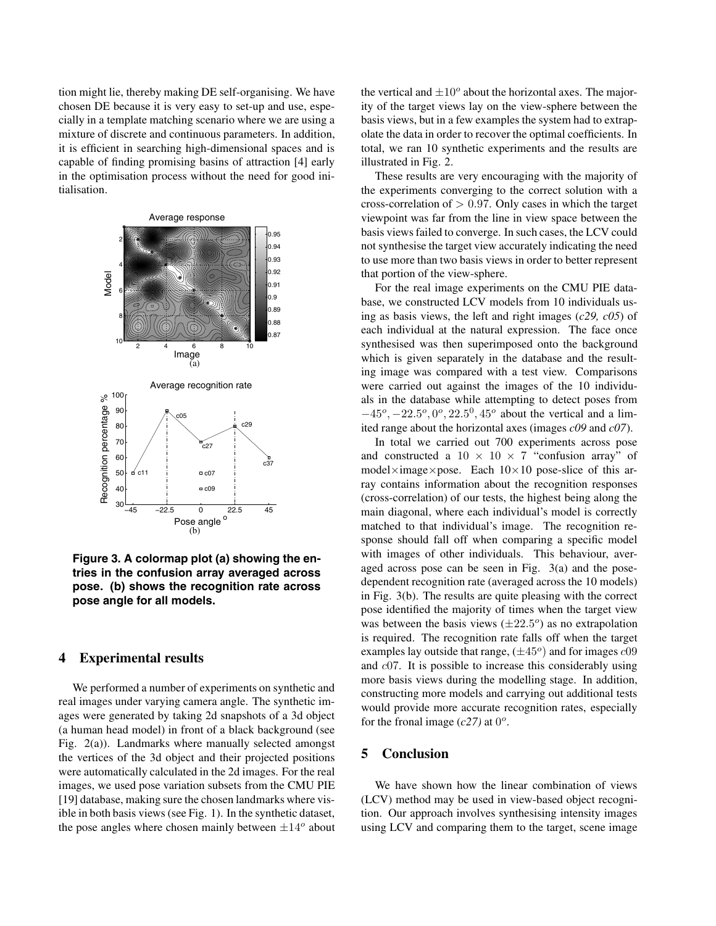tion might lie, thereby making DE self-organising. We have chosen DE because it is very easy to set-up and use, especially in a template matching scenario where we are using a mixture of discrete and continuous parameters. In addition, it is efficient in searching high-dimensional spaces and is capable of finding promising basins of attraction [4] early in the optimisation process without the need for good initialisation.



**Figure 3. A colormap plot (a) showing the entries in the confusion array averaged across pose. (b) shows the recognition rate across pose angle for all models.**

# **4 Experimental results**

We performed a number of experiments on synthetic and real images under varying camera angle. The synthetic images were generated by taking 2d snapshots of a 3d object (a human head model) in front of a black background (see Fig. 2(a)). Landmarks where manually selected amongst the vertices of the 3d object and their projected positions were automatically calculated in the 2d images. For the real images, we used pose variation subsets from the CMU PIE [19] database, making sure the chosen landmarks where visible in both basis views (see Fig. 1). In the synthetic dataset, the pose angles where chosen mainly between  $\pm 14^{\circ}$  about

the vertical and  $\pm 10^{\circ}$  about the horizontal axes. The majority of the target views lay on the view-sphere between the basis views, but in a few examples the system had to extrapolate the data in order to recover the optimal coefficients. In total, we ran 10 synthetic experiments and the results are illustrated in Fig. 2.

These results are very encouraging with the majority of the experiments converging to the correct solution with a cross-correlation of  $> 0.97$ . Only cases in which the target viewpoint was far from the line in view space between the basis views failed to converge. In such cases, the LCV could not synthesise the target view accurately indicating the need to use more than two basis views in order to better represent that portion of the view-sphere.

For the real image experiments on the CMU PIE database, we constructed LCV models from 10 individuals using as basis views, the left and right images (*c29, c05*) of each individual at the natural expression. The face once synthesised was then superimposed onto the background which is given separately in the database and the resulting image was compared with a test view. Comparisons were carried out against the images of the 10 individuals in the database while attempting to detect poses from *<sup>−</sup>*45*<sup>o</sup>*, *<sup>−</sup>*22.5*<sup>o</sup>*, <sup>0</sup>*<sup>o</sup>*, <sup>22</sup>.5<sup>0</sup>, <sup>45</sup>*<sup>o</sup>* about the vertical and a limited range about the horizontal axes (images *c09* and *c07*).

In total we carried out 700 experiments across pose and constructed a  $10 \times 10 \times 7$  "confusion array" of model*×*image*×*pose. Each 10*×*10 pose-slice of this array contains information about the recognition responses (cross-correlation) of our tests, the highest being along the main diagonal, where each individual's model is correctly matched to that individual's image. The recognition response should fall off when comparing a specific model with images of other individuals. This behaviour, averaged across pose can be seen in Fig. 3(a) and the posedependent recognition rate (averaged across the 10 models) in Fig. 3(b). The results are quite pleasing with the correct pose identified the majority of times when the target view was between the basis views  $(\pm 22.5^{\circ})$  as no extrapolation is required. The recognition rate falls off when the target examples lay outside that range,  $(\pm 45^\circ)$  and for images  $c09$ and c07. It is possible to increase this considerably using more basis views during the modelling stage. In addition, constructing more models and carrying out additional tests would provide more accurate recognition rates, especially for the fronal image  $(c27)$  at  $0^\circ$ .

## **5 Conclusion**

We have shown how the linear combination of views (LCV) method may be used in view-based object recognition. Our approach involves synthesising intensity images using LCV and comparing them to the target, scene image